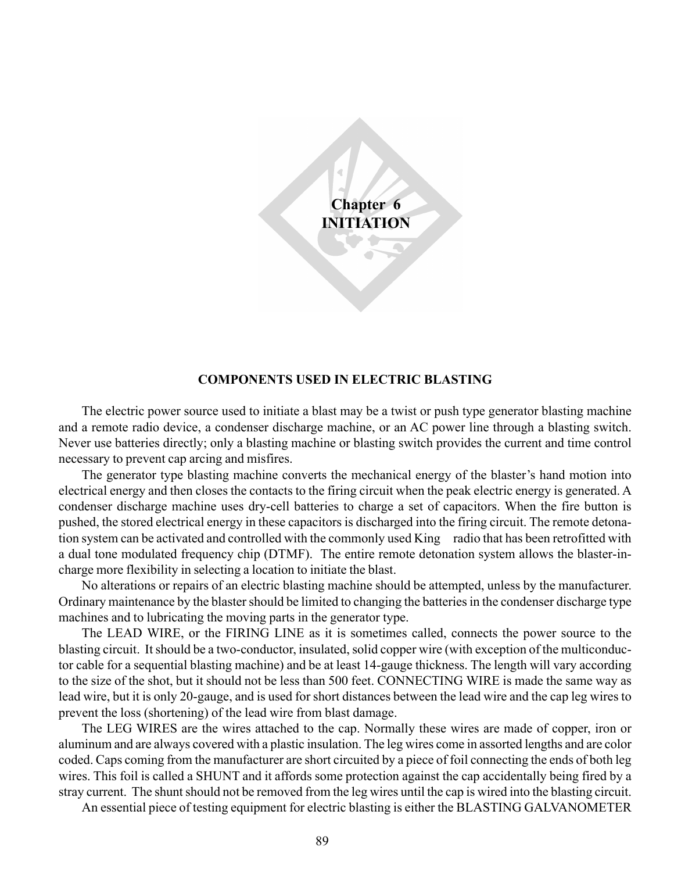**Chapter 6 INITIATION**

#### **COMPONENTS USED IN ELECTRIC BLASTING**

The electric power source used to initiate a blast may be a twist or push type generator blasting machine and a remote radio device, a condenser discharge machine, or an AC power line through a blasting switch. Never use batteries directly; only a blasting machine or blasting switch provides the current and time control necessary to prevent cap arcing and misfires.

The generator type blasting machine converts the mechanical energy of the blaster's hand motion into electrical energy and then closes the contacts to the firing circuit when the peak electric energy is generated. A condenser discharge machine uses dry-cell batteries to charge a set of capacitors. When the fire button is pushed, the stored electrical energy in these capacitors is discharged into the firing circuit. The remote detonation system can be activated and controlled with the commonly used King™ radio that has been retrofitted with a dual tone modulated frequency chip (DTMF). The entire remote detonation system allows the blaster-incharge more flexibility in selecting a location to initiate the blast.

No alterations or repairs of an electric blasting machine should be attempted, unless by the manufacturer. Ordinary maintenance by the blaster should be limited to changing the batteries in the condenser discharge type machines and to lubricating the moving parts in the generator type.

The LEAD WIRE, or the FIRING LINE as it is sometimes called, connects the power source to the blasting circuit. It should be a two-conductor, insulated, solid copper wire (with exception of the multiconductor cable for a sequential blasting machine) and be at least 14-gauge thickness. The length will vary according to the size of the shot, but it should not be less than 500 feet. CONNECTING WIRE is made the same way as lead wire, but it is only 20-gauge, and is used for short distances between the lead wire and the cap leg wires to prevent the loss (shortening) of the lead wire from blast damage.

The LEG WIRES are the wires attached to the cap. Normally these wires are made of copper, iron or aluminum and are always covered with a plastic insulation. The leg wires come in assorted lengths and are color coded. Caps coming from the manufacturer are short circuited by a piece of foil connecting the ends of both leg wires. This foil is called a SHUNT and it affords some protection against the cap accidentally being fired by a stray current. The shunt should not be removed from the leg wires until the cap is wired into the blasting circuit.

An essential piece of testing equipment for electric blasting is either the BLASTING GALVANOMETER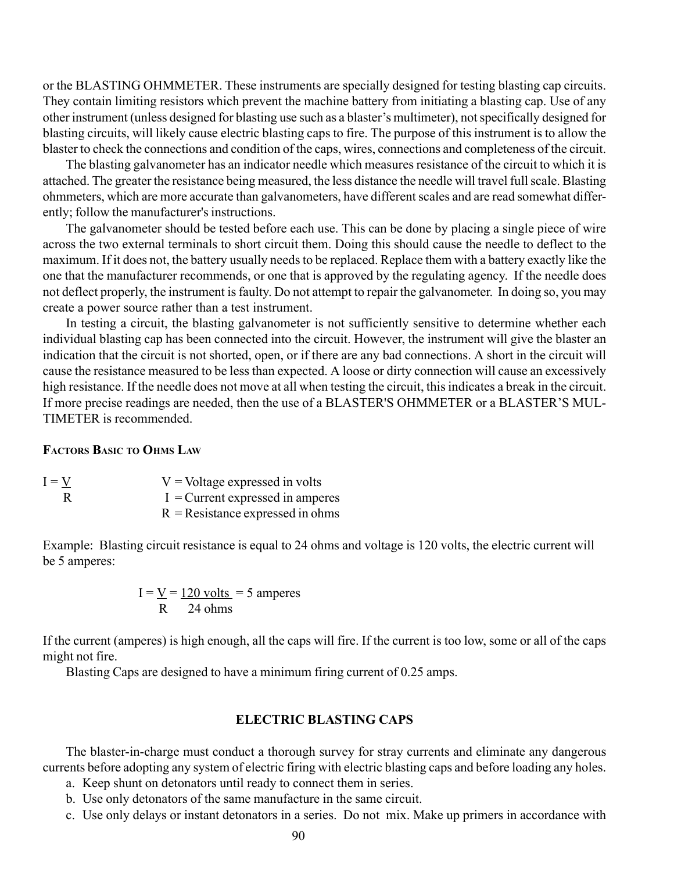or the BLASTING OHMMETER. These instruments are specially designed for testing blasting cap circuits. They contain limiting resistors which prevent the machine battery from initiating a blasting cap. Use of any other instrument (unless designed for blasting use such as a blaster's multimeter), not specifically designed for blasting circuits, will likely cause electric blasting caps to fire. The purpose of this instrument is to allow the blaster to check the connections and condition of the caps, wires, connections and completeness of the circuit.

The blasting galvanometer has an indicator needle which measures resistance of the circuit to which it is attached. The greater the resistance being measured, the less distance the needle will travel full scale. Blasting ohmmeters, which are more accurate than galvanometers, have different scales and are read somewhat differently; follow the manufacturer's instructions.

The galvanometer should be tested before each use. This can be done by placing a single piece of wire across the two external terminals to short circuit them. Doing this should cause the needle to deflect to the maximum. If it does not, the battery usually needs to be replaced. Replace them with a battery exactly like the one that the manufacturer recommends, or one that is approved by the regulating agency. If the needle does not deflect properly, the instrument is faulty. Do not attempt to repair the galvanometer. In doing so, you may create a power source rather than a test instrument.

In testing a circuit, the blasting galvanometer is not sufficiently sensitive to determine whether each individual blasting cap has been connected into the circuit. However, the instrument will give the blaster an indication that the circuit is not shorted, open, or if there are any bad connections. A short in the circuit will cause the resistance measured to be less than expected. A loose or dirty connection will cause an excessively high resistance. If the needle does not move at all when testing the circuit, this indicates a break in the circuit. If more precise readings are needed, then the use of a BLASTER'S OHMMETER or a BLASTER'S MUL-TIMETER is recommended.

#### **FACTORS BASIC TO OHMS LAW**

| $I = V$ | $V =$ Voltage expressed in volts   |
|---------|------------------------------------|
| R       | $I =$ Current expressed in amperes |
|         | $R$ = Resistance expressed in ohms |

Example: Blasting circuit resistance is equal to 24 ohms and voltage is 120 volts, the electric current will be 5 amperes:

> $I = V = 120$  volts = 5 amperes  $R = 24$  ohms

If the current (amperes) is high enough, all the caps will fire. If the current is too low, some or all of the caps might not fire.

Blasting Caps are designed to have a minimum firing current of 0.25 amps.

## **ELECTRIC BLASTING CAPS**

The blaster-in-charge must conduct a thorough survey for stray currents and eliminate any dangerous currents before adopting any system of electric firing with electric blasting caps and before loading any holes.

- a. Keep shunt on detonators until ready to connect them in series.
- b. Use only detonators of the same manufacture in the same circuit.
- c. Use only delays or instant detonators in a series. Do not mix. Make up primers in accordance with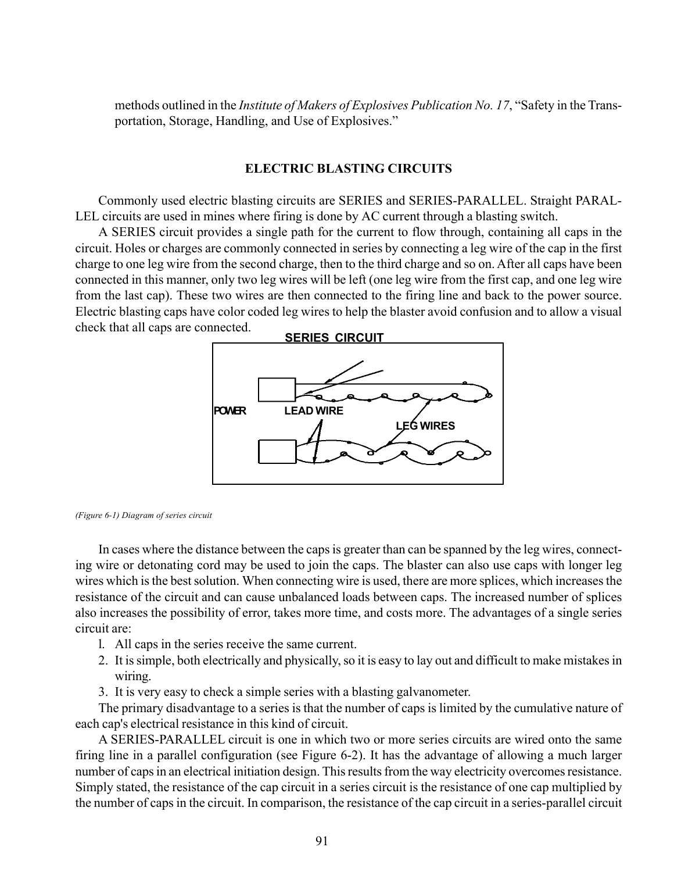methods outlined in the *Institute of Makers of Explosives Publication No. 17*, "Safety in the Transportation, Storage, Handling, and Use of Explosives."

### **ELECTRIC BLASTING CIRCUITS**

Commonly used electric blasting circuits are SERIES and SERIES-PARALLEL. Straight PARAL-LEL circuits are used in mines where firing is done by AC current through a blasting switch.

A SERIES circuit provides a single path for the current to flow through, containing all caps in the circuit. Holes or charges are commonly connected in series by connecting a leg wire of the cap in the first charge to one leg wire from the second charge, then to the third charge and so on. After all caps have been connected in this manner, only two leg wires will be left (one leg wire from the first cap, and one leg wire from the last cap). These two wires are then connected to the firing line and back to the power source. Electric blasting caps have color coded leg wires to help the blaster avoid confusion and to allow a visual check that all caps are connected.



*(Figure 6-1) Diagram of series circuit*

In cases where the distance between the caps is greater than can be spanned by the leg wires, connecting wire or detonating cord may be used to join the caps. The blaster can also use caps with longer leg wires which is the best solution. When connecting wire is used, there are more splices, which increases the resistance of the circuit and can cause unbalanced loads between caps. The increased number of splices also increases the possibility of error, takes more time, and costs more. The advantages of a single series circuit are:

- l. All caps in the series receive the same current.
- 2. It is simple, both electrically and physically, so it is easy to lay out and difficult to make mistakes in wiring.
- 3. It is very easy to check a simple series with a blasting galvanometer.

The primary disadvantage to a series is that the number of caps is limited by the cumulative nature of each cap's electrical resistance in this kind of circuit.

A SERIES-PARALLEL circuit is one in which two or more series circuits are wired onto the same firing line in a parallel configuration (see Figure 6-2). It has the advantage of allowing a much larger number of caps in an electrical initiation design. This results from the way electricity overcomes resistance. Simply stated, the resistance of the cap circuit in a series circuit is the resistance of one cap multiplied by the number of caps in the circuit. In comparison, the resistance of the cap circuit in a series-parallel circuit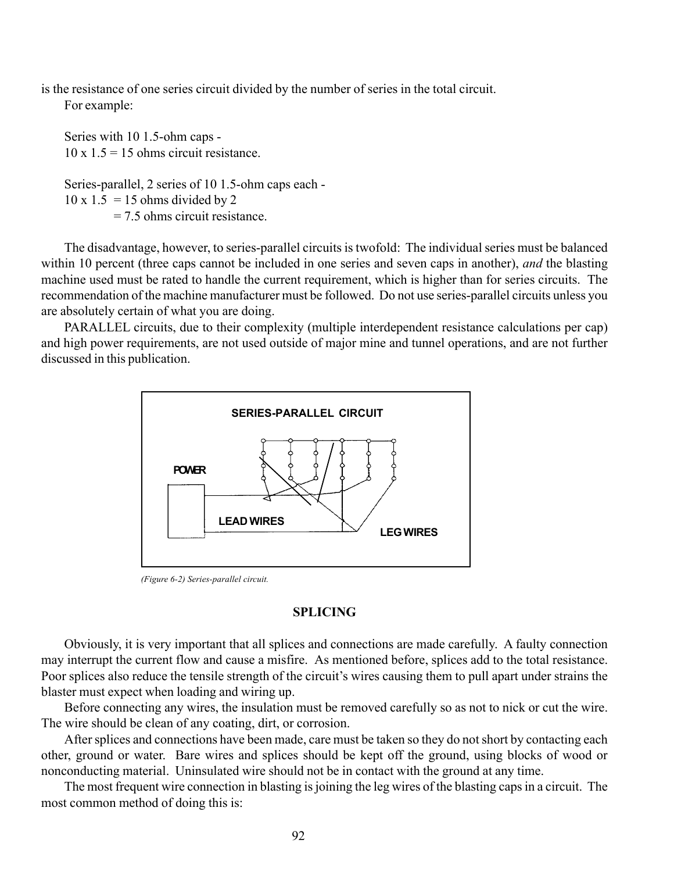is the resistance of one series circuit divided by the number of series in the total circuit. For example:

Series with 10 1.5-ohm caps -  $10 \times 1.5 = 15$  ohms circuit resistance. Series-parallel, 2 series of 10 1.5-ohm caps each -  $10 \times 1.5 = 15$  ohms divided by 2

= 7.5 ohms circuit resistance.

The disadvantage, however, to series-parallel circuits is twofold: The individual series must be balanced within 10 percent (three caps cannot be included in one series and seven caps in another), *and* the blasting machine used must be rated to handle the current requirement, which is higher than for series circuits. The recommendation of the machine manufacturer must be followed. Do not use series-parallel circuits unless you are absolutely certain of what you are doing.

PARALLEL circuits, due to their complexity (multiple interdependent resistance calculations per cap) and high power requirements, are not used outside of major mine and tunnel operations, and are not further discussed in this publication.



*(Figure 6-2) Series-parallel circuit.*

### **SPLICING**

Obviously, it is very important that all splices and connections are made carefully. A faulty connection may interrupt the current flow and cause a misfire. As mentioned before, splices add to the total resistance. Poor splices also reduce the tensile strength of the circuit's wires causing them to pull apart under strains the blaster must expect when loading and wiring up.

Before connecting any wires, the insulation must be removed carefully so as not to nick or cut the wire. The wire should be clean of any coating, dirt, or corrosion.

After splices and connections have been made, care must be taken so they do not short by contacting each other, ground or water. Bare wires and splices should be kept off the ground, using blocks of wood or nonconducting material. Uninsulated wire should not be in contact with the ground at any time.

The most frequent wire connection in blasting is joining the leg wires of the blasting caps in a circuit. The most common method of doing this is: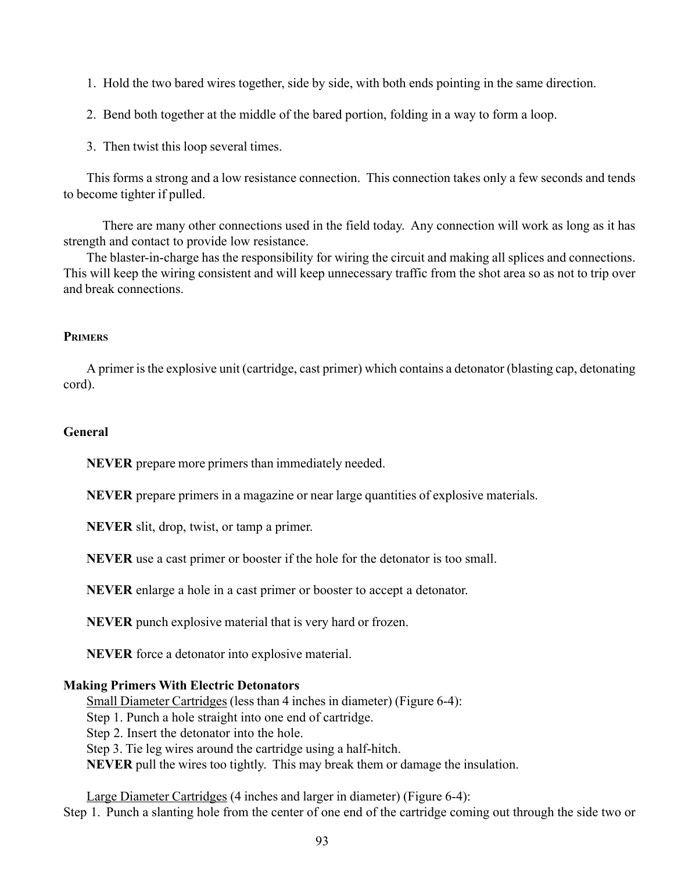- 1. Hold the two bared wires together, side by side, with both ends pointing in the same direction.
- 2. Bend both together at the middle of the bared portion, folding in a way to form a loop.
- 3. Then twist this loop several times.

This forms a strong and a low resistance connection. This connection takes only a few seconds and tends to become tighter if pulled.

 There are many other connections used in the field today. Any connection will work as long as it has strength and contact to provide low resistance.

The blaster-in-charge has the responsibility for wiring the circuit and making all splices and connections. This will keep the wiring consistent and will keep unnecessary traffic from the shot area so as not to trip over and break connections.

### **PRIMERS**

A primer is the explosive unit (cartridge, cast primer) which contains a detonator (blasting cap, detonating cord).

## **General**

**NEVER** prepare more primers than immediately needed.

**NEVER** prepare primers in a magazine or near large quantities of explosive materials.

**NEVER** slit, drop, twist, or tamp a primer.

**NEVER** use a cast primer or booster if the hole for the detonator is too small.

**NEVER** enlarge a hole in a cast primer or booster to accept a detonator.

**NEVER** punch explosive material that is very hard or frozen.

**NEVER** force a detonator into explosive material.

#### **Making Primers With Electric Detonators**

Small Diameter Cartridges (less than 4 inches in diameter) (Figure 6-4): Step 1. Punch a hole straight into one end of cartridge. Step 2. Insert the detonator into the hole. Step 3. Tie leg wires around the cartridge using a half-hitch. **NEVER** pull the wires too tightly. This may break them or damage the insulation.

Large Diameter Cartridges (4 inches and larger in diameter) (Figure 6-4): Step 1. Punch a slanting hole from the center of one end of the cartridge coming out through the side two or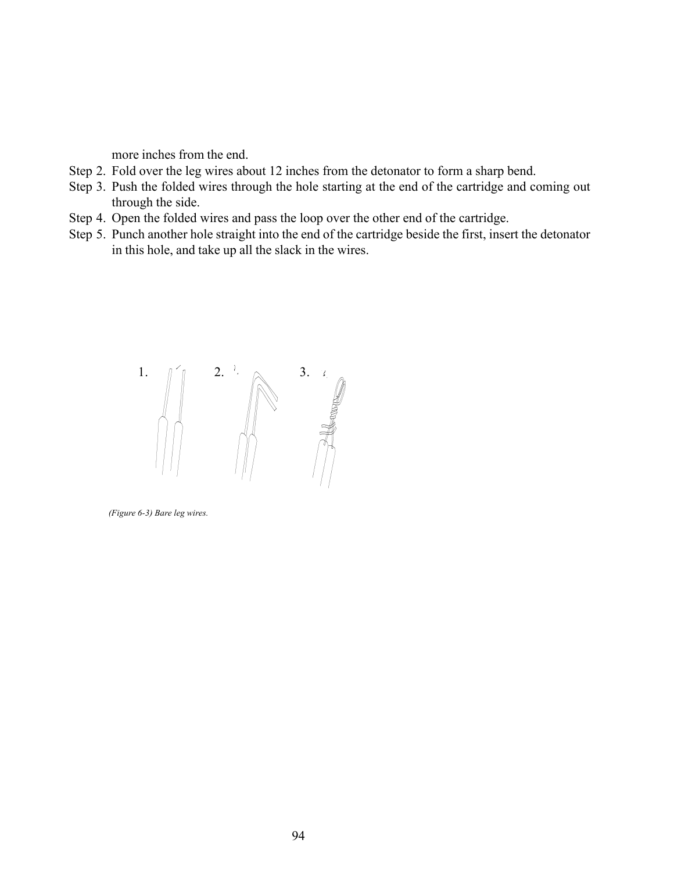more inches from the end.

- Step 2. Fold over the leg wires about 12 inches from the detonator to form a sharp bend.
- Step 3. Push the folded wires through the hole starting at the end of the cartridge and coming out through the side.
- Step 4. Open the folded wires and pass the loop over the other end of the cartridge.
- Step 5. Punch another hole straight into the end of the cartridge beside the first, insert the detonator in this hole, and take up all the slack in the wires.



*(Figure 6-3) Bare leg wires.*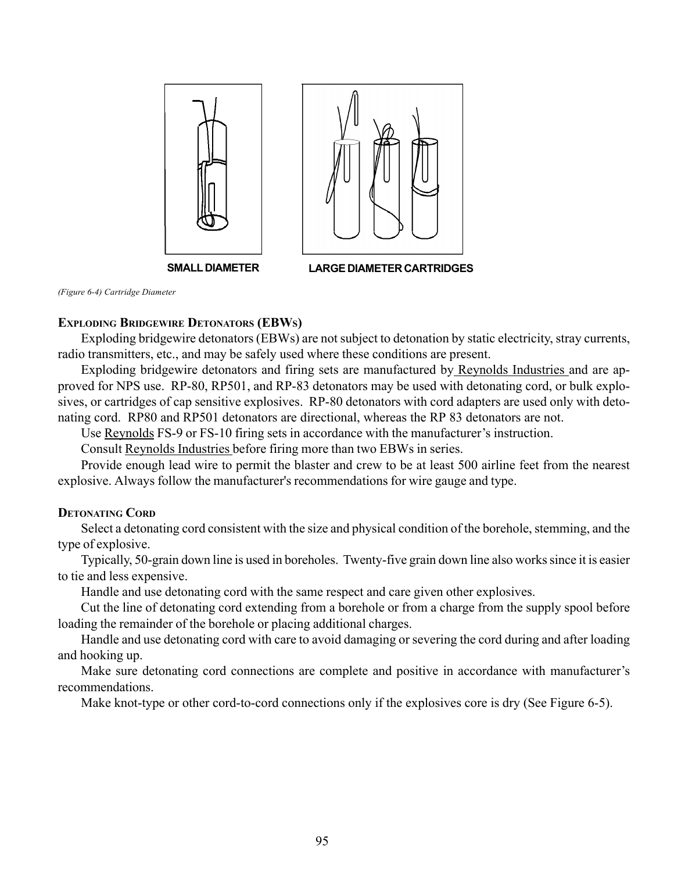

**SMALL DIAMETER LARGE DIAMETER CARTRIDGES**

*(Figure 6-4) Cartridge Diameter*

## **EXPLODING BRIDGEWIRE DETONATORS (EBWS)**

Exploding bridgewire detonators (EBWs) are not subject to detonation by static electricity, stray currents, radio transmitters, etc., and may be safely used where these conditions are present.

Exploding bridgewire detonators and firing sets are manufactured by Reynolds Industries and are approved for NPS use. RP-80, RP501, and RP-83 detonators may be used with detonating cord, or bulk explosives, or cartridges of cap sensitive explosives. RP-80 detonators with cord adapters are used only with detonating cord. RP80 and RP501 detonators are directional, whereas the RP 83 detonators are not.

Use Reynolds FS-9 or FS-10 firing sets in accordance with the manufacturer's instruction.

Consult Reynolds Industries before firing more than two EBWs in series.

Provide enough lead wire to permit the blaster and crew to be at least 500 airline feet from the nearest explosive. Always follow the manufacturer's recommendations for wire gauge and type.

## **DETONATING CORD**

Select a detonating cord consistent with the size and physical condition of the borehole, stemming, and the type of explosive.

Typically, 50-grain down line is used in boreholes. Twenty-five grain down line also works since it is easier to tie and less expensive.

Handle and use detonating cord with the same respect and care given other explosives.

Cut the line of detonating cord extending from a borehole or from a charge from the supply spool before loading the remainder of the borehole or placing additional charges.

Handle and use detonating cord with care to avoid damaging or severing the cord during and after loading and hooking up.

Make sure detonating cord connections are complete and positive in accordance with manufacturer's recommendations.

Make knot-type or other cord-to-cord connections only if the explosives core is dry (See Figure 6-5).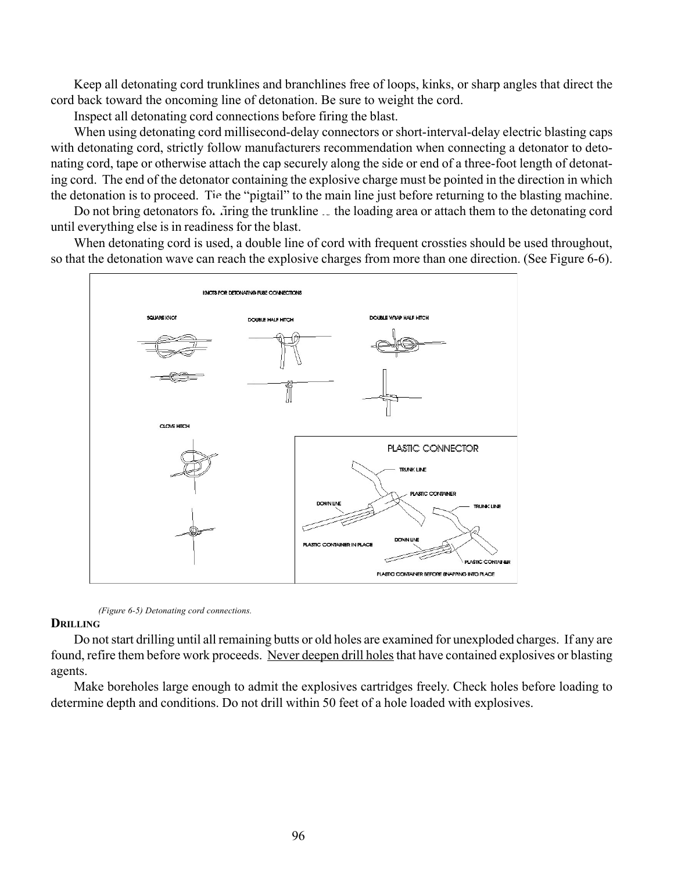Keep all detonating cord trunklines and branchlines free of loops, kinks, or sharp angles that direct the cord back toward the oncoming line of detonation. Be sure to weight the cord.

Inspect all detonating cord connections before firing the blast.

When using detonating cord millisecond-delay connectors or short-interval-delay electric blasting caps with detonating cord, strictly follow manufacturers recommendation when connecting a detonator to detonating cord, tape or otherwise attach the cap securely along the side or end of a three-foot length of detonating cord. The end of the detonator containing the explosive charge must be pointed in the direction in which the detonation is to proceed. Tie the "pigtail" to the main line just before returning to the blasting machine.

Do not bring detonators for firing the trunkline to the loading area or attach them to the detonating cord until everything else is in readiness for the blast.

When detonating cord is used, a double line of cord with frequent crossties should be used throughout, so that the detonation wave can reach the explosive charges from more than one direction. (See Figure 6-6).





### **DRILLING**

Do not start drilling until all remaining butts or old holes are examined for unexploded charges. If any are found, refire them before work proceeds. Never deepen drill holes that have contained explosives or blasting agents.

Make boreholes large enough to admit the explosives cartridges freely. Check holes before loading to determine depth and conditions. Do not drill within 50 feet of a hole loaded with explosives.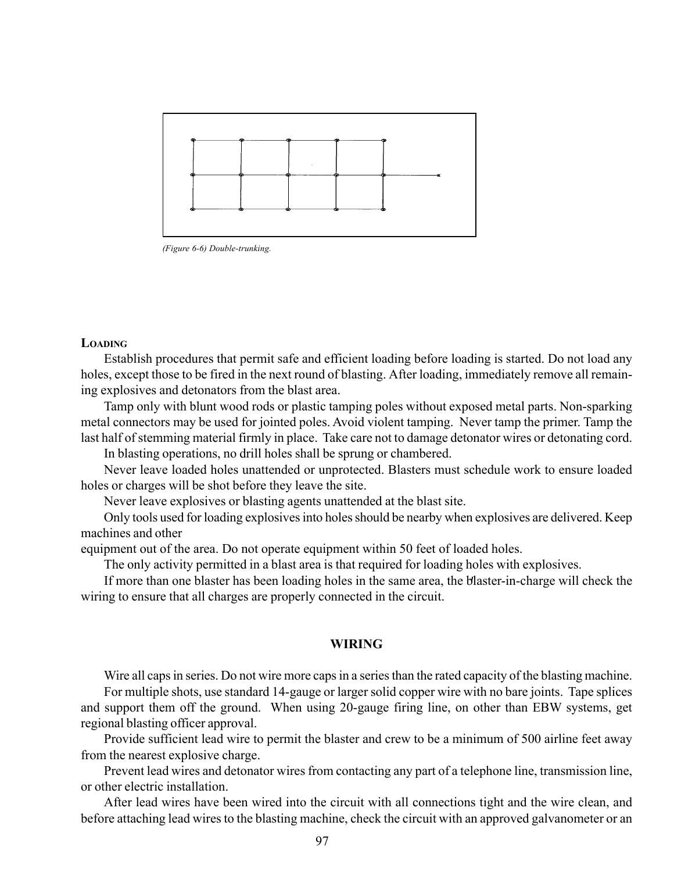

*(Figure 6-6) Double-trunking.*

#### **LOADING**

Establish procedures that permit safe and efficient loading before loading is started. Do not load any holes, except those to be fired in the next round of blasting. After loading, immediately remove all remaining explosives and detonators from the blast area.

Tamp only with blunt wood rods or plastic tamping poles without exposed metal parts. Non-sparking metal connectors may be used for jointed poles. Avoid violent tamping. Never tamp the primer. Tamp the last half of stemming material firmly in place. Take care not to damage detonator wires or detonating cord.

In blasting operations, no drill holes shall be sprung or chambered.

Never leave loaded holes unattended or unprotected. Blasters must schedule work to ensure loaded holes or charges will be shot before they leave the site.

Never leave explosives or blasting agents unattended at the blast site.

Only tools used for loading explosives into holes should be nearby when explosives are delivered. Keep machines and other

equipment out of the area. Do not operate equipment within 50 feet of loaded holes.

The only activity permitted in a blast area is that required for loading holes with explosives.

If more than one blaster has been loading holes in the same area, the blaster-in-charge will check the wiring to ensure that all charges are properly connected in the circuit.

### **WIRING**

Wire all caps in series. Do not wire more caps in a series than the rated capacity of the blasting machine.

For multiple shots, use standard 14-gauge or larger solid copper wire with no bare joints. Tape splices and support them off the ground. When using 20-gauge firing line, on other than EBW systems, get regional blasting officer approval.

Provide sufficient lead wire to permit the blaster and crew to be a minimum of 500 airline feet away from the nearest explosive charge.

Prevent lead wires and detonator wires from contacting any part of a telephone line, transmission line, or other electric installation.

After lead wires have been wired into the circuit with all connections tight and the wire clean, and before attaching lead wires to the blasting machine, check the circuit with an approved galvanometer or an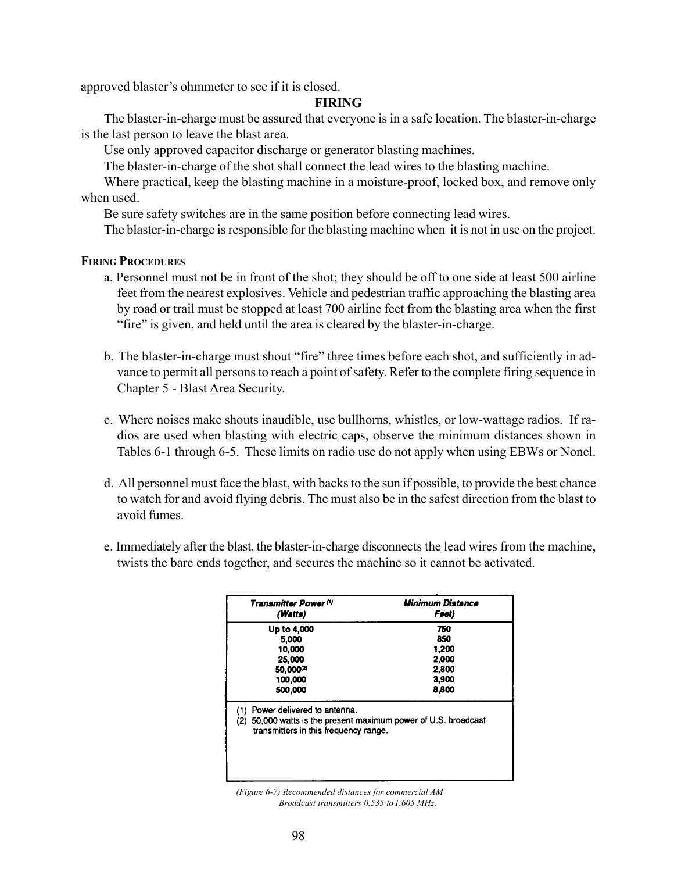approved blaster's ohmmeter to see if it is closed.

### **FIRING**

The blaster-in-charge must be assured that everyone is in a safe location. The blaster-in-charge is the last person to leave the blast area.

Use only approved capacitor discharge or generator blasting machines.

The blaster-in-charge of the shot shall connect the lead wires to the blasting machine.

Where practical, keep the blasting machine in a moisture-proof, locked box, and remove only when used.

Be sure safety switches are in the same position before connecting lead wires.

The blaster-in-charge is responsible for the blasting machine when it is not in use on the project.

### **FIRING PROCEDURES**

- a. Personnel must not be in front of the shot; they should be off to one side at least 500 airline feet from the nearest explosives. Vehicle and pedestrian traffic approaching the blasting area by road or trail must be stopped at least 700 airline feet from the blasting area when the first "fire" is given, and held until the area is cleared by the blaster-in-charge.
- b. The blaster-in-charge must shout "fire" three times before each shot, and sufficiently in advance to permit all persons to reach a point of safety. Refer to the complete firing sequence in Chapter 5 - Blast Area Security.
- c. Where noises make shouts inaudible, use bullhorns, whistles, or low-wattage radios. If radios are used when blasting with electric caps, observe the minimum distances shown in Tables 6-1 through 6-5. These limits on radio use do not apply when using EBWs or Nonel.
- d. All personnel must face the blast, with backs to the sun if possible, to provide the best chance to watch for and avoid flying debris. The must also be in the safest direction from the blast to avoid fumes.
- e. Immediately after the blast, the blaster-in-charge disconnects the lead wires from the machine, twists the bare ends together, and secures the machine so it cannot be activated.

| Transmitter Power (*)                                                                                                                             | <b>Minimum Distance</b> |  |
|---------------------------------------------------------------------------------------------------------------------------------------------------|-------------------------|--|
| (Watts)                                                                                                                                           | Feet)                   |  |
| Up to 4,000                                                                                                                                       | 750                     |  |
| 5.000                                                                                                                                             | 850                     |  |
| 10,000                                                                                                                                            | 1,200                   |  |
| 25,000                                                                                                                                            | 2,000                   |  |
| 50,000(2)                                                                                                                                         | 2,800                   |  |
| 100,000                                                                                                                                           | 3,900                   |  |
| 500,000                                                                                                                                           | 8,800                   |  |
| Power delivered to antenna.<br>(1)<br>50,000 watts is the present maximum power of U.S. broadcast<br>(2)<br>transmitters in this frequency range. |                         |  |

*(Figure 6-7) Recommended distances for commercial AM Broadcast transmitters 0.535 to1.605 MHz.*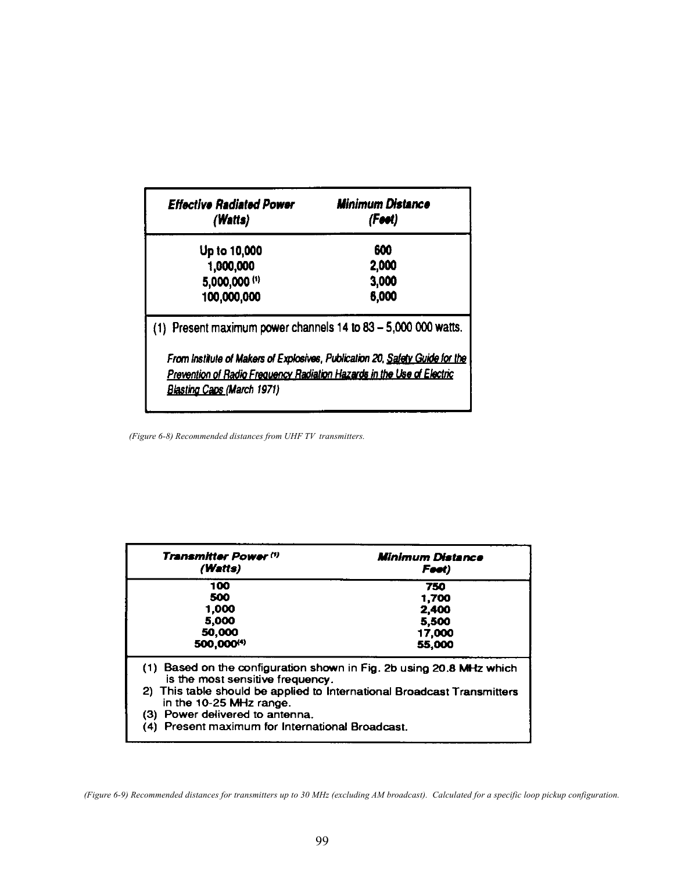| <b>Effective Radiated Power</b><br>(Watts)                                   | Minimum Distance<br>(Foot) |  |  |  |
|------------------------------------------------------------------------------|----------------------------|--|--|--|
| Up to 10,000                                                                 | 600                        |  |  |  |
| 1,000,000                                                                    | 2,000                      |  |  |  |
| 5,000,000 (1)                                                                | 3,000                      |  |  |  |
| 100,000,000                                                                  | 6,000                      |  |  |  |
| (1) Present maximum power channels 14 to 83 - 5,000 000 watts.               |                            |  |  |  |
| From Institute of Makers of Explosives, Publication 20, Safety Guide for the |                            |  |  |  |
| Prevention of Radio Frequency Radiation Hazards in the Use of Electric       |                            |  |  |  |
| <b>Blasting Caps (March 1971)</b>                                            |                            |  |  |  |

*(Figure 6-8) Recommended distances from UHF TV transmitters.*

| <b>Transmitter Power (1)</b><br>(Watts)                                                              | Minimum Distance<br>Føøt)                                        |  |  |
|------------------------------------------------------------------------------------------------------|------------------------------------------------------------------|--|--|
| 100                                                                                                  | 750                                                              |  |  |
| 500                                                                                                  | 1,700                                                            |  |  |
| 1.000                                                                                                | 2,400                                                            |  |  |
| 5,000                                                                                                | 5,500                                                            |  |  |
| 50,000<br>500,000(4)                                                                                 | 17,000<br>55,000                                                 |  |  |
| (1)                                                                                                  | Based on the configuration shown in Fig. 2b using 20.8 MHz which |  |  |
| is the most sensitive frequency.                                                                     |                                                                  |  |  |
| 2) This table should be applied to International Broadcast Transmitters<br>in the 10-25 $MHz$ range. |                                                                  |  |  |
| (3) Power delivered to antenna.                                                                      |                                                                  |  |  |
| (4) Present maximum for International Broadcast.                                                     |                                                                  |  |  |

*<sup>(</sup>Figure 6-9) Recommended distances for transmitters up to 30 MHz (excluding AM broadcast). Calculated for a specific loop pickup configuration.*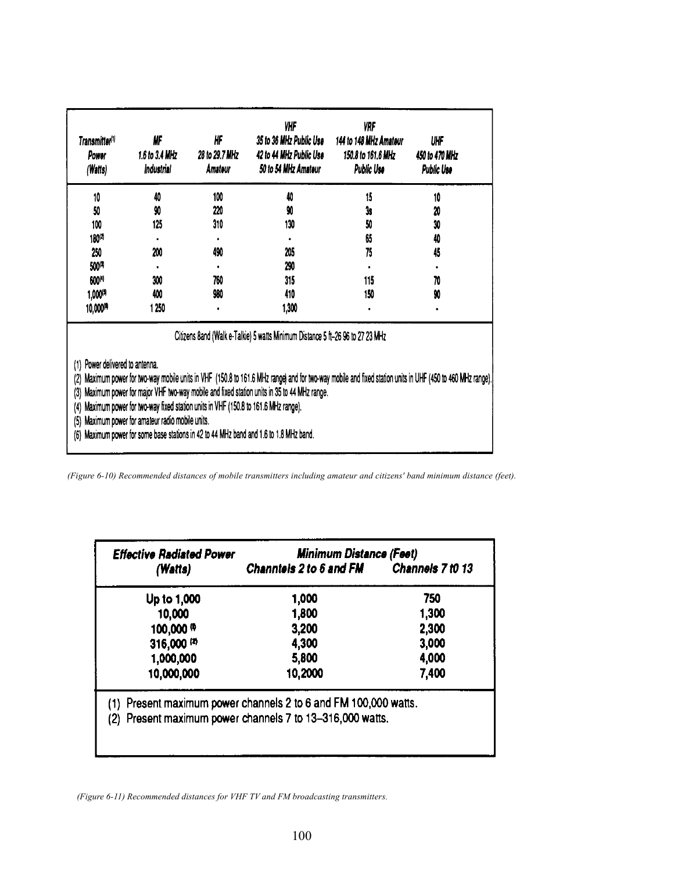| Transmitter <sup>(1)</sup><br>Power<br>(Watts)                                                                                                                                                                                                                                                                                                                                                                                                                                                                                                          | ₩<br>1.6 to 3.4 MHz<br>Industrial                                              | IIF<br>28 to 29.7 MHz<br>Amateur | VНF<br>35 to 36 MHz Public Use<br>42 to 44 MHz Public Use<br>50 to 54 MHz Amateur | VRF<br>144 to 148 MHz Amateur<br>150.8 to 161.6 MHz<br>Public Use | UHF<br>450 to 470 MHz<br>Public Use |  |  |  |
|---------------------------------------------------------------------------------------------------------------------------------------------------------------------------------------------------------------------------------------------------------------------------------------------------------------------------------------------------------------------------------------------------------------------------------------------------------------------------------------------------------------------------------------------------------|--------------------------------------------------------------------------------|----------------------------------|-----------------------------------------------------------------------------------|-------------------------------------------------------------------|-------------------------------------|--|--|--|
| 10                                                                                                                                                                                                                                                                                                                                                                                                                                                                                                                                                      | 40                                                                             | 100                              | 40                                                                                | 15                                                                | 10                                  |  |  |  |
| 50                                                                                                                                                                                                                                                                                                                                                                                                                                                                                                                                                      | 90                                                                             | 220                              | 90                                                                                | 3s                                                                | 20                                  |  |  |  |
| 100                                                                                                                                                                                                                                                                                                                                                                                                                                                                                                                                                     | 125                                                                            | 310                              | 130                                                                               | 50                                                                | 30                                  |  |  |  |
| 180(2)                                                                                                                                                                                                                                                                                                                                                                                                                                                                                                                                                  |                                                                                |                                  |                                                                                   | 65                                                                | 40                                  |  |  |  |
| 250                                                                                                                                                                                                                                                                                                                                                                                                                                                                                                                                                     | 200                                                                            | 490                              | 205                                                                               | 75                                                                | 45                                  |  |  |  |
| 500(4)                                                                                                                                                                                                                                                                                                                                                                                                                                                                                                                                                  |                                                                                |                                  | 290                                                                               |                                                                   |                                     |  |  |  |
| 600(4)                                                                                                                                                                                                                                                                                                                                                                                                                                                                                                                                                  | 300                                                                            | 760                              | 315                                                                               | 115                                                               | 70                                  |  |  |  |
| 1,000(9                                                                                                                                                                                                                                                                                                                                                                                                                                                                                                                                                 | 400                                                                            | 980                              | 410                                                                               | 150                                                               | 90                                  |  |  |  |
| 10,000 <sup>(4)</sup>                                                                                                                                                                                                                                                                                                                                                                                                                                                                                                                                   | 1 250                                                                          |                                  | 1,300                                                                             |                                                                   |                                     |  |  |  |
|                                                                                                                                                                                                                                                                                                                                                                                                                                                                                                                                                         | Citizens 8and (Walk e-Talkie) 5 watts Minimum Distance 5 ft-26 96 to 27 23 MHz |                                  |                                                                                   |                                                                   |                                     |  |  |  |
| Power delivered to antenna.<br>(1)<br>Maximum power for two-way mobile units in VHF (150.8 to 161.6 MHz range) and for two-way mobile and fixed station units in UHF (450 to 460 MHz range).<br>(2)<br>Maximum power for major VHF two-way mobile and fixed station units in 35 to 44 MHz range.<br>(3)<br>Maximum power for two-way fixed station units in VHF (150.8 to 161.6 MHz range).<br>(4)<br>Maximum power for amateur radio mobile units.<br>(5)<br>Maximum power for some base stations in 42 to 44 MHz band and 1.6 to 1.8 MHz band.<br>(6) |                                                                                |                                  |                                                                                   |                                                                   |                                     |  |  |  |

*(Figure 6-10) Recommended distances of mobile transmitters including amateur and citizens' band minimum distance (feet).*

| <b>Effective Radiated Power</b> | <b>Minimum Distance (Feet)</b>                                                                                               |       |  |  |
|---------------------------------|------------------------------------------------------------------------------------------------------------------------------|-------|--|--|
| (Watts)                         | Channtels 2 to 6 and FM Channels 7 t0 13                                                                                     |       |  |  |
| Up to 1,000                     | 1,000                                                                                                                        | 750   |  |  |
| 10,000                          | 1,800                                                                                                                        | 1,300 |  |  |
| 100,000 <sup>(0</sup>           | 3,200                                                                                                                        | 2,300 |  |  |
| 316,000 (2)                     | 4,300                                                                                                                        | 3,000 |  |  |
| 1,000,000                       | 5,800                                                                                                                        | 4,000 |  |  |
| 10,000,000                      | 10,2000                                                                                                                      | 7,400 |  |  |
|                                 | (1) Present maximum power channels 2 to 6 and FM 100,000 watts.<br>(2) Present maximum power channels 7 to 13-316,000 watts. |       |  |  |
|                                 |                                                                                                                              |       |  |  |
|                                 |                                                                                                                              |       |  |  |

*(Figure 6-11) Recommended distances for VHF TV and FM broadcasting transmitters.*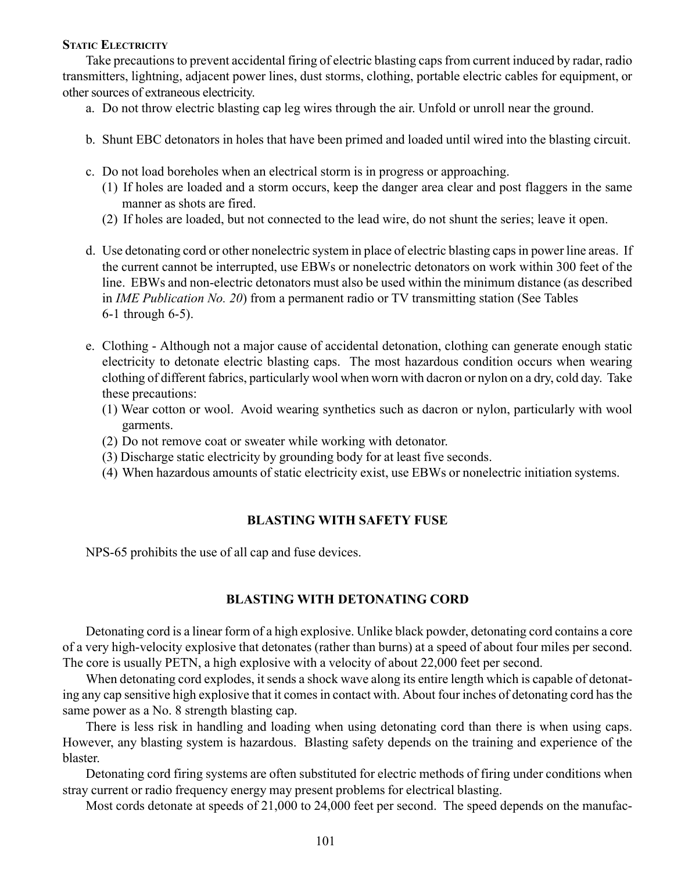### **STATIC ELECTRICITY**

Take precautions to prevent accidental firing of electric blasting caps from current induced by radar, radio transmitters, lightning, adjacent power lines, dust storms, clothing, portable electric cables for equipment, or other sources of extraneous electricity.

- a. Do not throw electric blasting cap leg wires through the air. Unfold or unroll near the ground.
- b. Shunt EBC detonators in holes that have been primed and loaded until wired into the blasting circuit.
- c. Do not load boreholes when an electrical storm is in progress or approaching.
	- (1) If holes are loaded and a storm occurs, keep the danger area clear and post flaggers in the same manner as shots are fired.
	- (2) If holes are loaded, but not connected to the lead wire, do not shunt the series; leave it open.
- d. Use detonating cord or other nonelectric system in place of electric blasting caps in power line areas. If the current cannot be interrupted, use EBWs or nonelectric detonators on work within 300 feet of the line. EBWs and non-electric detonators must also be used within the minimum distance (as described in *IME Publication No. 20*) from a permanent radio or TV transmitting station (See Tables 6-1 through 6-5).
- e. Clothing Although not a major cause of accidental detonation, clothing can generate enough static electricity to detonate electric blasting caps. The most hazardous condition occurs when wearing clothing of different fabrics, particularly wool when worn with dacron or nylon on a dry, cold day. Take these precautions:
	- (1) Wear cotton or wool. Avoid wearing synthetics such as dacron or nylon, particularly with wool garments.
	- (2) Do not remove coat or sweater while working with detonator.
	- (3) Discharge static electricity by grounding body for at least five seconds.
	- (4) When hazardous amounts of static electricity exist, use EBWs or nonelectric initiation systems.

## **BLASTING WITH SAFETY FUSE**

NPS-65 prohibits the use of all cap and fuse devices.

# **BLASTING WITH DETONATING CORD**

Detonating cord is a linear form of a high explosive. Unlike black powder, detonating cord contains a core of a very high-velocity explosive that detonates (rather than burns) at a speed of about four miles per second. The core is usually PETN, a high explosive with a velocity of about 22,000 feet per second.

When detonating cord explodes, it sends a shock wave along its entire length which is capable of detonating any cap sensitive high explosive that it comes in contact with. About four inches of detonating cord has the same power as a No. 8 strength blasting cap.

There is less risk in handling and loading when using detonating cord than there is when using caps. However, any blasting system is hazardous. Blasting safety depends on the training and experience of the blaster.

Detonating cord firing systems are often substituted for electric methods of firing under conditions when stray current or radio frequency energy may present problems for electrical blasting.

Most cords detonate at speeds of 21,000 to 24,000 feet per second. The speed depends on the manufac-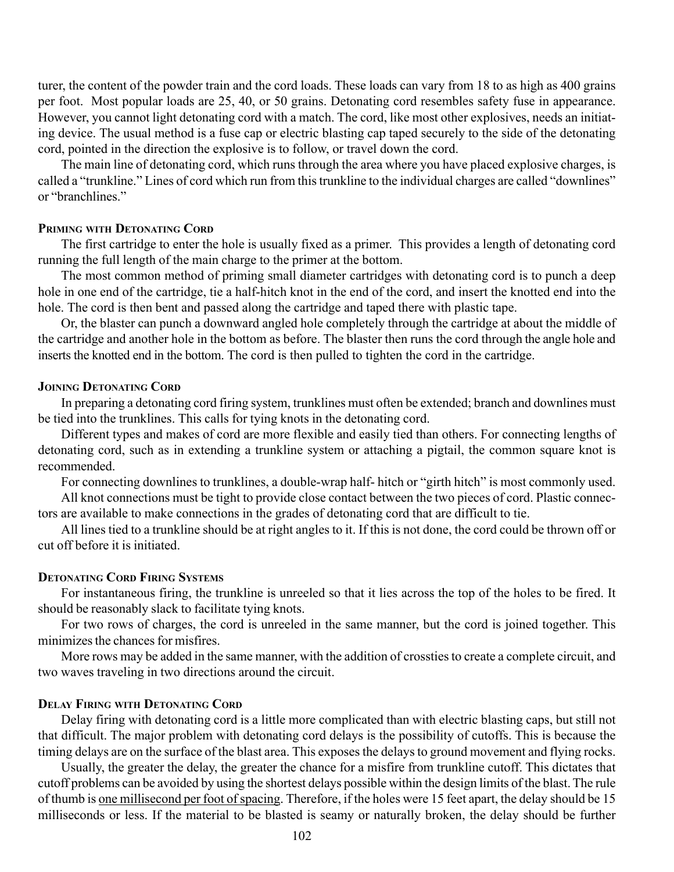turer, the content of the powder train and the cord loads. These loads can vary from 18 to as high as 400 grains per foot. Most popular loads are 25, 40, or 50 grains. Detonating cord resembles safety fuse in appearance. However, you cannot light detonating cord with a match. The cord, like most other explosives, needs an initiating device. The usual method is a fuse cap or electric blasting cap taped securely to the side of the detonating cord, pointed in the direction the explosive is to follow, or travel down the cord.

The main line of detonating cord, which runs through the area where you have placed explosive charges, is called a "trunkline." Lines of cord which run from this trunkline to the individual charges are called "downlines" or "branchlines"

### **PRIMING WITH DETONATING CORD**

The first cartridge to enter the hole is usually fixed as a primer. This provides a length of detonating cord running the full length of the main charge to the primer at the bottom.

The most common method of priming small diameter cartridges with detonating cord is to punch a deep hole in one end of the cartridge, tie a half-hitch knot in the end of the cord, and insert the knotted end into the hole. The cord is then bent and passed along the cartridge and taped there with plastic tape.

Or, the blaster can punch a downward angled hole completely through the cartridge at about the middle of the cartridge and another hole in the bottom as before. The blaster then runs the cord through the angle hole and inserts the knotted end in the bottom. The cord is then pulled to tighten the cord in the cartridge.

#### **JOINING DETONATING CORD**

In preparing a detonating cord firing system, trunklines must often be extended; branch and downlines must be tied into the trunklines. This calls for tying knots in the detonating cord.

Different types and makes of cord are more flexible and easily tied than others. For connecting lengths of detonating cord, such as in extending a trunkline system or attaching a pigtail, the common square knot is recommended.

For connecting downlines to trunklines, a double-wrap half- hitch or "girth hitch" is most commonly used.

All knot connections must be tight to provide close contact between the two pieces of cord. Plastic connectors are available to make connections in the grades of detonating cord that are difficult to tie.

All lines tied to a trunkline should be at right angles to it. If this is not done, the cord could be thrown off or cut off before it is initiated.

### **DETONATING CORD FIRING SYSTEMS**

For instantaneous firing, the trunkline is unreeled so that it lies across the top of the holes to be fired. It should be reasonably slack to facilitate tying knots.

For two rows of charges, the cord is unreeled in the same manner, but the cord is joined together. This minimizes the chances for misfires.

More rows may be added in the same manner, with the addition of crossties to create a complete circuit, and two waves traveling in two directions around the circuit.

### **DELAY FIRING WITH DETONATING CORD**

Delay firing with detonating cord is a little more complicated than with electric blasting caps, but still not that difficult. The major problem with detonating cord delays is the possibility of cutoffs. This is because the timing delays are on the surface of the blast area. This exposes the delays to ground movement and flying rocks.

Usually, the greater the delay, the greater the chance for a misfire from trunkline cutoff. This dictates that cutoff problems can be avoided by using the shortest delays possible within the design limits of the blast. The rule of thumb is one millisecond per foot of spacing. Therefore, if the holes were 15 feet apart, the delay should be 15 milliseconds or less. If the material to be blasted is seamy or naturally broken, the delay should be further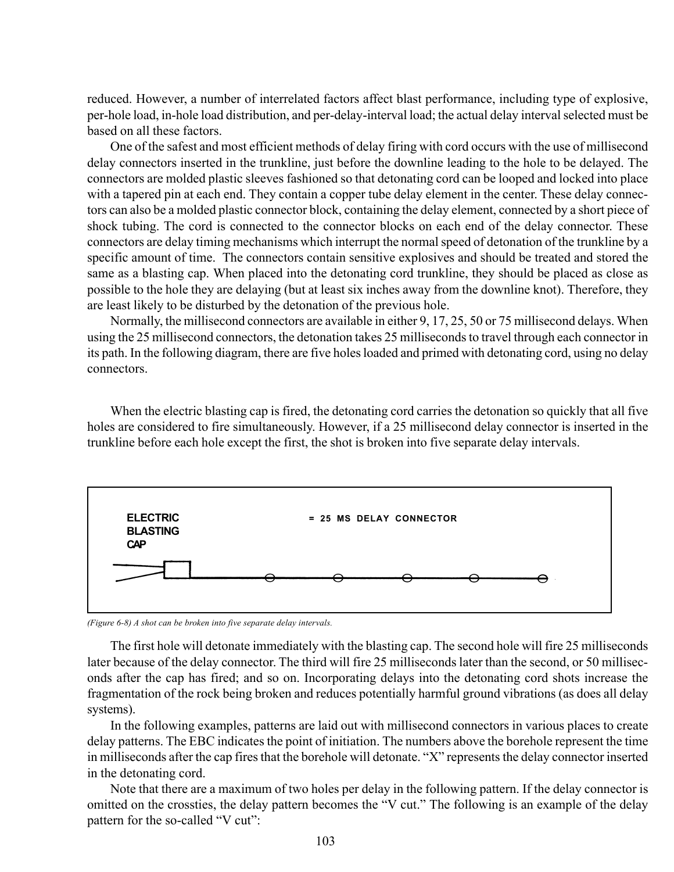reduced. However, a number of interrelated factors affect blast performance, including type of explosive, per-hole load, in-hole load distribution, and per-delay-interval load; the actual delay interval selected must be based on all these factors.

One of the safest and most efficient methods of delay firing with cord occurs with the use of millisecond delay connectors inserted in the trunkline, just before the downline leading to the hole to be delayed. The connectors are molded plastic sleeves fashioned so that detonating cord can be looped and locked into place with a tapered pin at each end. They contain a copper tube delay element in the center. These delay connectors can also be a molded plastic connector block, containing the delay element, connected by a short piece of shock tubing. The cord is connected to the connector blocks on each end of the delay connector. These connectors are delay timing mechanisms which interrupt the normal speed of detonation of the trunkline by a specific amount of time. The connectors contain sensitive explosives and should be treated and stored the same as a blasting cap. When placed into the detonating cord trunkline, they should be placed as close as possible to the hole they are delaying (but at least six inches away from the downline knot). Therefore, they are least likely to be disturbed by the detonation of the previous hole.

Normally, the millisecond connectors are available in either 9, 17, 25, 50 or 75 millisecond delays. When using the 25 millisecond connectors, the detonation takes 25 milliseconds to travel through each connector in its path. In the following diagram, there are five holes loaded and primed with detonating cord, using no delay connectors.

When the electric blasting cap is fired, the detonating cord carries the detonation so quickly that all five holes are considered to fire simultaneously. However, if a 25 millisecond delay connector is inserted in the trunkline before each hole except the first, the shot is broken into five separate delay intervals.



*(Figure 6-8) A shot can be broken into five separate delay intervals.*

The first hole will detonate immediately with the blasting cap. The second hole will fire 25 milliseconds later because of the delay connector. The third will fire 25 milliseconds later than the second, or 50 milliseconds after the cap has fired; and so on. Incorporating delays into the detonating cord shots increase the fragmentation of the rock being broken and reduces potentially harmful ground vibrations (as does all delay systems).

In the following examples, patterns are laid out with millisecond connectors in various places to create delay patterns. The EBC indicates the point of initiation. The numbers above the borehole represent the time in milliseconds after the cap fires that the borehole will detonate. "X" represents the delay connector inserted in the detonating cord.

Note that there are a maximum of two holes per delay in the following pattern. If the delay connector is omitted on the crossties, the delay pattern becomes the "V cut." The following is an example of the delay pattern for the so-called "V cut":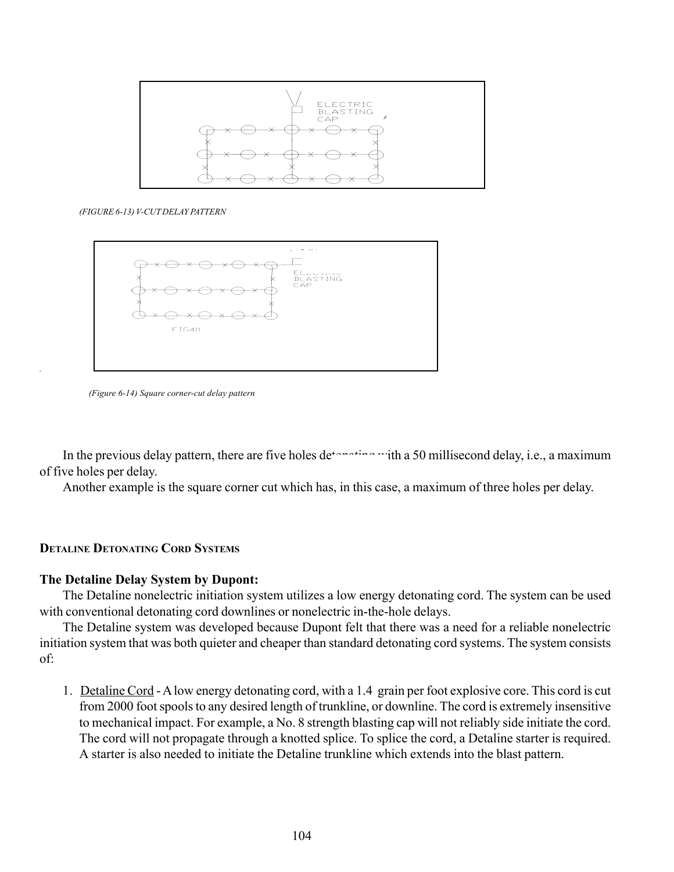

*(FIGURE 6-13) V-CUT DELAY PATTERN*



 *(Figure 6-14) Square corner-cut delay pattern*

In the previous delay pattern, there are five holes detor-the state of millisecond delay, i.e., a maximum of five holes per delay.

Another example is the square corner cut which has, in this case, a maximum of three holes per delay.

### **DETALINE DETONATING CORD SYSTEMS**

*.*

### **The Detaline Delay System by Dupont:**

The Detaline nonelectric initiation system utilizes a low energy detonating cord. The system can be used with conventional detonating cord downlines or nonelectric in-the-hole delays.

The Detaline system was developed because Dupont felt that there was a need for a reliable nonelectric initiation system that was both quieter and cheaper than standard detonating cord systems. The system consists of:

1. Detaline Cord - A low energy detonating cord, with a 1.4 grain per foot explosive core. This cord is cut from 2000 foot spools to any desired length of trunkline, or downline. The cord is extremely insensitive to mechanical impact. For example, a No. 8 strength blasting cap will not reliably side initiate the cord. The cord will not propagate through a knotted splice. To splice the cord, a Detaline starter is required. A starter is also needed to initiate the Detaline trunkline which extends into the blast pattern.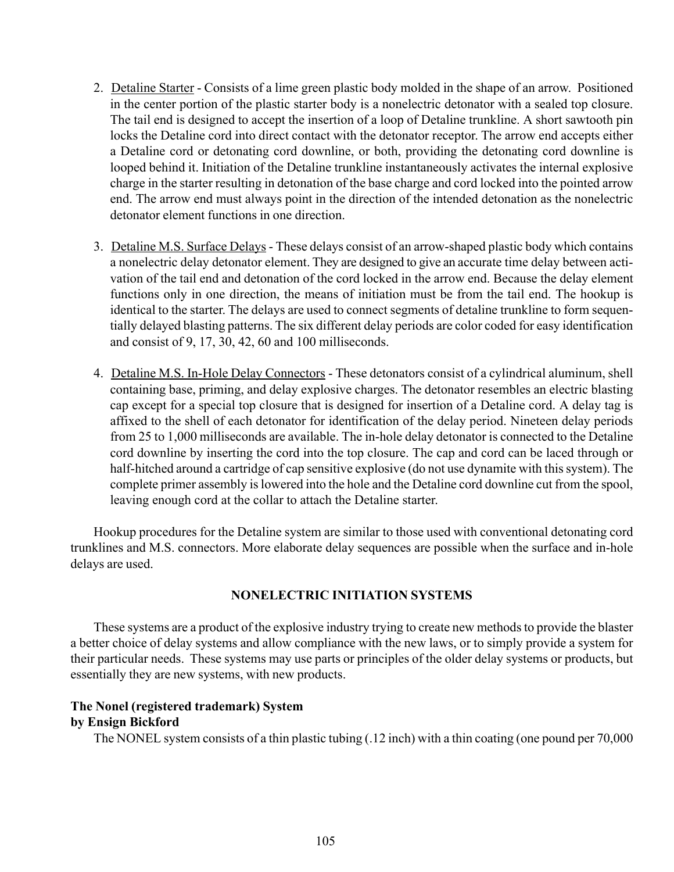- 2. Detaline Starter Consists of a lime green plastic body molded in the shape of an arrow. Positioned in the center portion of the plastic starter body is a nonelectric detonator with a sealed top closure. The tail end is designed to accept the insertion of a loop of Detaline trunkline. A short sawtooth pin locks the Detaline cord into direct contact with the detonator receptor. The arrow end accepts either a Detaline cord or detonating cord downline, or both, providing the detonating cord downline is looped behind it. Initiation of the Detaline trunkline instantaneously activates the internal explosive charge in the starter resulting in detonation of the base charge and cord locked into the pointed arrow end. The arrow end must always point in the direction of the intended detonation as the nonelectric detonator element functions in one direction.
- 3. Detaline M.S. Surface Delays These delays consist of an arrow-shaped plastic body which contains a nonelectric delay detonator element. They are designed to give an accurate time delay between activation of the tail end and detonation of the cord locked in the arrow end. Because the delay element functions only in one direction, the means of initiation must be from the tail end. The hookup is identical to the starter. The delays are used to connect segments of detaline trunkline to form sequentially delayed blasting patterns. The six different delay periods are color coded for easy identification and consist of 9, 17, 30, 42, 60 and 100 milliseconds.
- 4. Detaline M.S. In-Hole Delay Connectors These detonators consist of a cylindrical aluminum, shell containing base, priming, and delay explosive charges. The detonator resembles an electric blasting cap except for a special top closure that is designed for insertion of a Detaline cord. A delay tag is affixed to the shell of each detonator for identification of the delay period. Nineteen delay periods from 25 to 1,000 milliseconds are available. The in-hole delay detonator is connected to the Detaline cord downline by inserting the cord into the top closure. The cap and cord can be laced through or half-hitched around a cartridge of cap sensitive explosive (do not use dynamite with this system). The complete primer assembly is lowered into the hole and the Detaline cord downline cut from the spool, leaving enough cord at the collar to attach the Detaline starter.

Hookup procedures for the Detaline system are similar to those used with conventional detonating cord trunklines and M.S. connectors. More elaborate delay sequences are possible when the surface and in-hole delays are used.

# **NONELECTRIC INITIATION SYSTEMS**

These systems are a product of the explosive industry trying to create new methods to provide the blaster a better choice of delay systems and allow compliance with the new laws, or to simply provide a system for their particular needs. These systems may use parts or principles of the older delay systems or products, but essentially they are new systems, with new products.

# **The Nonel (registered trademark) System by Ensign Bickford**

The NONEL system consists of a thin plastic tubing (.12 inch) with a thin coating (one pound per 70,000